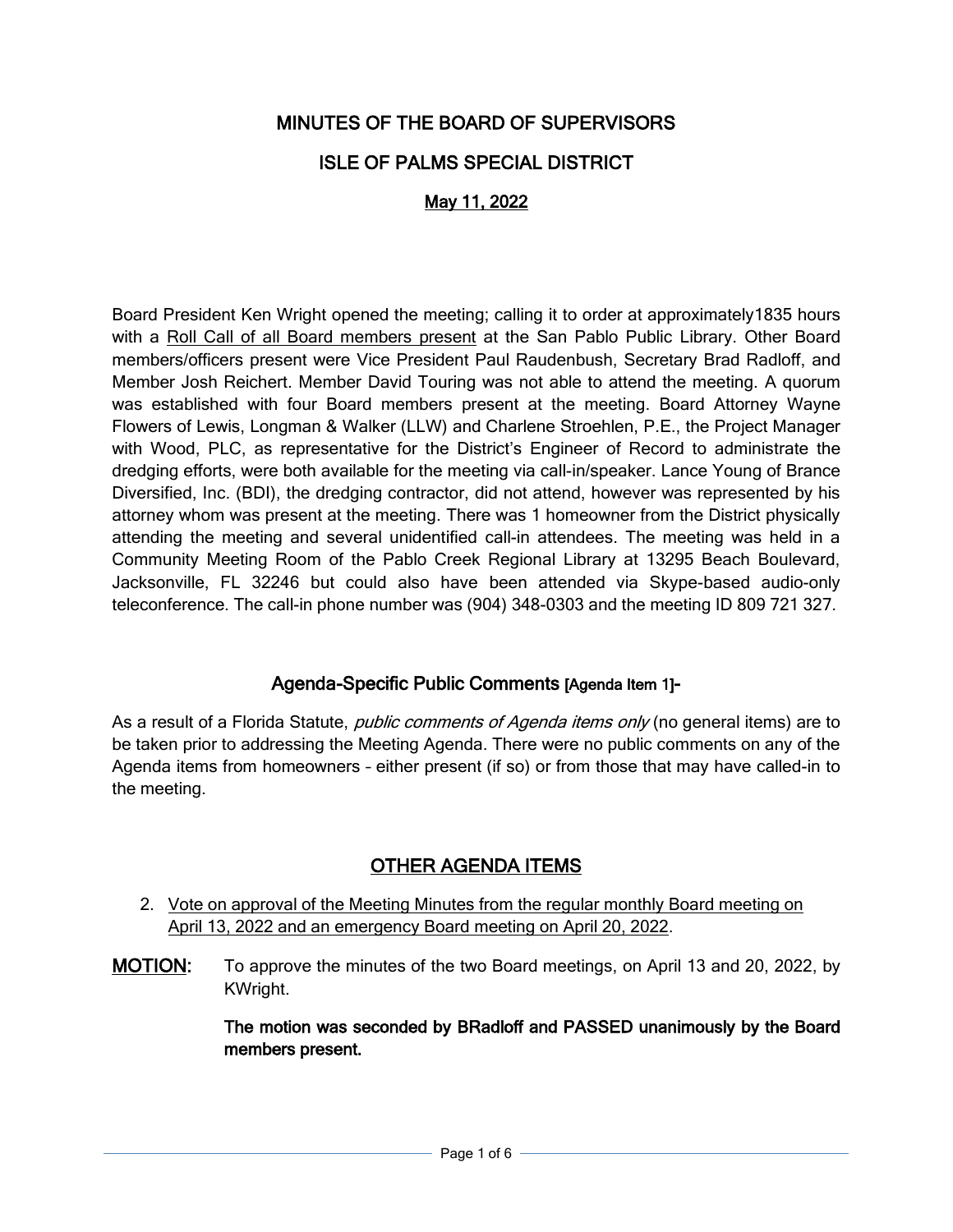# MINUTES OF THE BOARD OF SUPERVISORS

## ISLE OF PALMS SPECIAL DISTRICT

## May 11, 2022

Board President Ken Wright opened the meeting; calling it to order at approximately1835 hours with a Roll Call of all Board members present at the San Pablo Public Library. Other Board members/officers present were Vice President Paul Raudenbush, Secretary Brad Radloff, and Member Josh Reichert. Member David Touring was not able to attend the meeting. A quorum was established with four Board members present at the meeting. Board Attorney Wayne Flowers of Lewis, Longman & Walker (LLW) and Charlene Stroehlen, P.E., the Project Manager with Wood, PLC, as representative for the District's Engineer of Record to administrate the dredging efforts, were both available for the meeting via call-in/speaker. Lance Young of Brance Diversified, Inc. (BDI), the dredging contractor, did not attend, however was represented by his attorney whom was present at the meeting. There was 1 homeowner from the District physically attending the meeting and several unidentified call-in attendees. The meeting was held in a Community Meeting Room of the Pablo Creek Regional Library at 13295 Beach Boulevard, Jacksonville, FL 32246 but could also have been attended via Skype-based audio-only teleconference. The call-in phone number was (904) 348-0303 and the meeting ID 809 721 327.

## Agenda-Specific Public Comments [Agenda Item 1]-

As a result of a Florida Statute, *public comments of Agenda items only* (no general items) are to be taken prior to addressing the Meeting Agenda. There were no public comments on any of the Agenda items from homeowners – either present (if so) or from those that may have called-in to the meeting.

# OTHER AGENDA ITEMS

- 2. Vote on approval of the Meeting Minutes from the regular monthly Board meeting on April 13, 2022 and an emergency Board meeting on April 20, 2022.
- MOTION: To approve the minutes of the two Board meetings, on April 13 and 20, 2022, by KWright.

The motion was seconded by BRadloff and PASSED unanimously by the Board members present.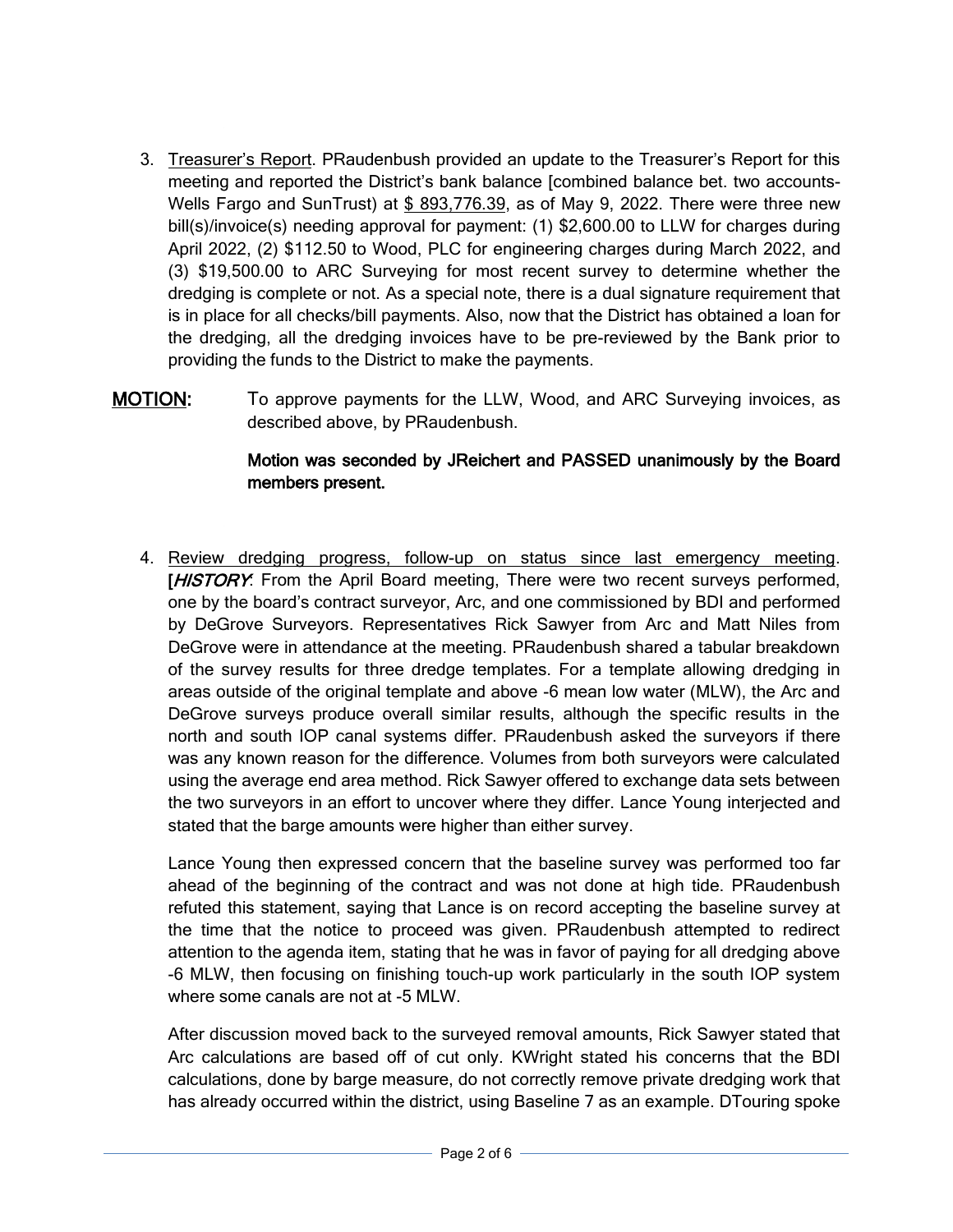- 3. Treasurer's Report. PRaudenbush provided an update to the Treasurer's Report for this meeting and reported the District's bank balance [combined balance bet. two accounts-Wells Fargo and SunTrust) at \$ 893,776.39, as of May 9, 2022. There were three new bill(s)/invoice(s) needing approval for payment: (1) \$2,600.00 to LLW for charges during April 2022, (2) \$112.50 to Wood, PLC for engineering charges during March 2022, and (3) \$19,500.00 to ARC Surveying for most recent survey to determine whether the dredging is complete or not. As a special note, there is a dual signature requirement that is in place for all checks/bill payments. Also, now that the District has obtained a loan for the dredging, all the dredging invoices have to be pre-reviewed by the Bank prior to providing the funds to the District to make the payments.
- MOTION: To approve payments for the LLW, Wood, and ARC Surveying invoices, as described above, by PRaudenbush.

#### Motion was seconded by JReichert and PASSED unanimously by the Board members present.

4. Review dredging progress, follow-up on status since last emergency meeting. [HISTORY: From the April Board meeting, There were two recent surveys performed, one by the board's contract surveyor, Arc, and one commissioned by BDI and performed by DeGrove Surveyors. Representatives Rick Sawyer from Arc and Matt Niles from DeGrove were in attendance at the meeting. PRaudenbush shared a tabular breakdown of the survey results for three dredge templates. For a template allowing dredging in areas outside of the original template and above -6 mean low water (MLW), the Arc and DeGrove surveys produce overall similar results, although the specific results in the north and south IOP canal systems differ. PRaudenbush asked the surveyors if there was any known reason for the difference. Volumes from both surveyors were calculated using the average end area method. Rick Sawyer offered to exchange data sets between the two surveyors in an effort to uncover where they differ. Lance Young interjected and stated that the barge amounts were higher than either survey.

Lance Young then expressed concern that the baseline survey was performed too far ahead of the beginning of the contract and was not done at high tide. PRaudenbush refuted this statement, saying that Lance is on record accepting the baseline survey at the time that the notice to proceed was given. PRaudenbush attempted to redirect attention to the agenda item, stating that he was in favor of paying for all dredging above -6 MLW, then focusing on finishing touch-up work particularly in the south IOP system where some canals are not at -5 MLW.

After discussion moved back to the surveyed removal amounts, Rick Sawyer stated that Arc calculations are based off of cut only. KWright stated his concerns that the BDI calculations, done by barge measure, do not correctly remove private dredging work that has already occurred within the district, using Baseline 7 as an example. DTouring spoke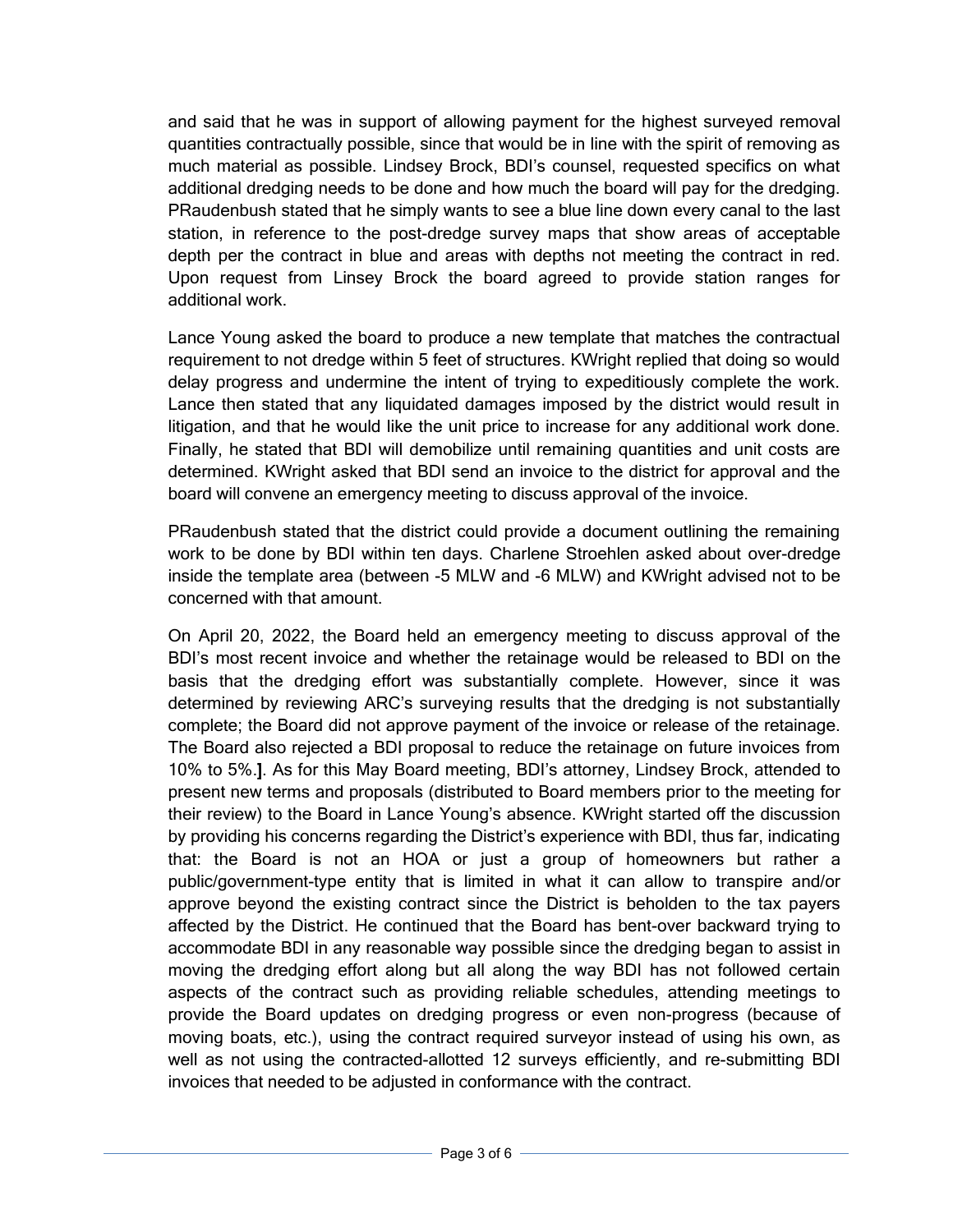and said that he was in support of allowing payment for the highest surveyed removal quantities contractually possible, since that would be in line with the spirit of removing as much material as possible. Lindsey Brock, BDI's counsel, requested specifics on what additional dredging needs to be done and how much the board will pay for the dredging. PRaudenbush stated that he simply wants to see a blue line down every canal to the last station, in reference to the post-dredge survey maps that show areas of acceptable depth per the contract in blue and areas with depths not meeting the contract in red. Upon request from Linsey Brock the board agreed to provide station ranges for additional work.

Lance Young asked the board to produce a new template that matches the contractual requirement to not dredge within 5 feet of structures. KWright replied that doing so would delay progress and undermine the intent of trying to expeditiously complete the work. Lance then stated that any liquidated damages imposed by the district would result in litigation, and that he would like the unit price to increase for any additional work done. Finally, he stated that BDI will demobilize until remaining quantities and unit costs are determined. KWright asked that BDI send an invoice to the district for approval and the board will convene an emergency meeting to discuss approval of the invoice.

PRaudenbush stated that the district could provide a document outlining the remaining work to be done by BDI within ten days. Charlene Stroehlen asked about over-dredge inside the template area (between -5 MLW and -6 MLW) and KWright advised not to be concerned with that amount.

On April 20, 2022, the Board held an emergency meeting to discuss approval of the BDI's most recent invoice and whether the retainage would be released to BDI on the basis that the dredging effort was substantially complete. However, since it was determined by reviewing ARC's surveying results that the dredging is not substantially complete; the Board did not approve payment of the invoice or release of the retainage. The Board also rejected a BDI proposal to reduce the retainage on future invoices from 10% to 5%.]. As for this May Board meeting, BDI's attorney, Lindsey Brock, attended to present new terms and proposals (distributed to Board members prior to the meeting for their review) to the Board in Lance Young's absence. KWright started off the discussion by providing his concerns regarding the District's experience with BDI, thus far, indicating that: the Board is not an HOA or just a group of homeowners but rather a public/government-type entity that is limited in what it can allow to transpire and/or approve beyond the existing contract since the District is beholden to the tax payers affected by the District. He continued that the Board has bent-over backward trying to accommodate BDI in any reasonable way possible since the dredging began to assist in moving the dredging effort along but all along the way BDI has not followed certain aspects of the contract such as providing reliable schedules, attending meetings to provide the Board updates on dredging progress or even non-progress (because of moving boats, etc.), using the contract required surveyor instead of using his own, as well as not using the contracted-allotted 12 surveys efficiently, and re-submitting BDI invoices that needed to be adjusted in conformance with the contract.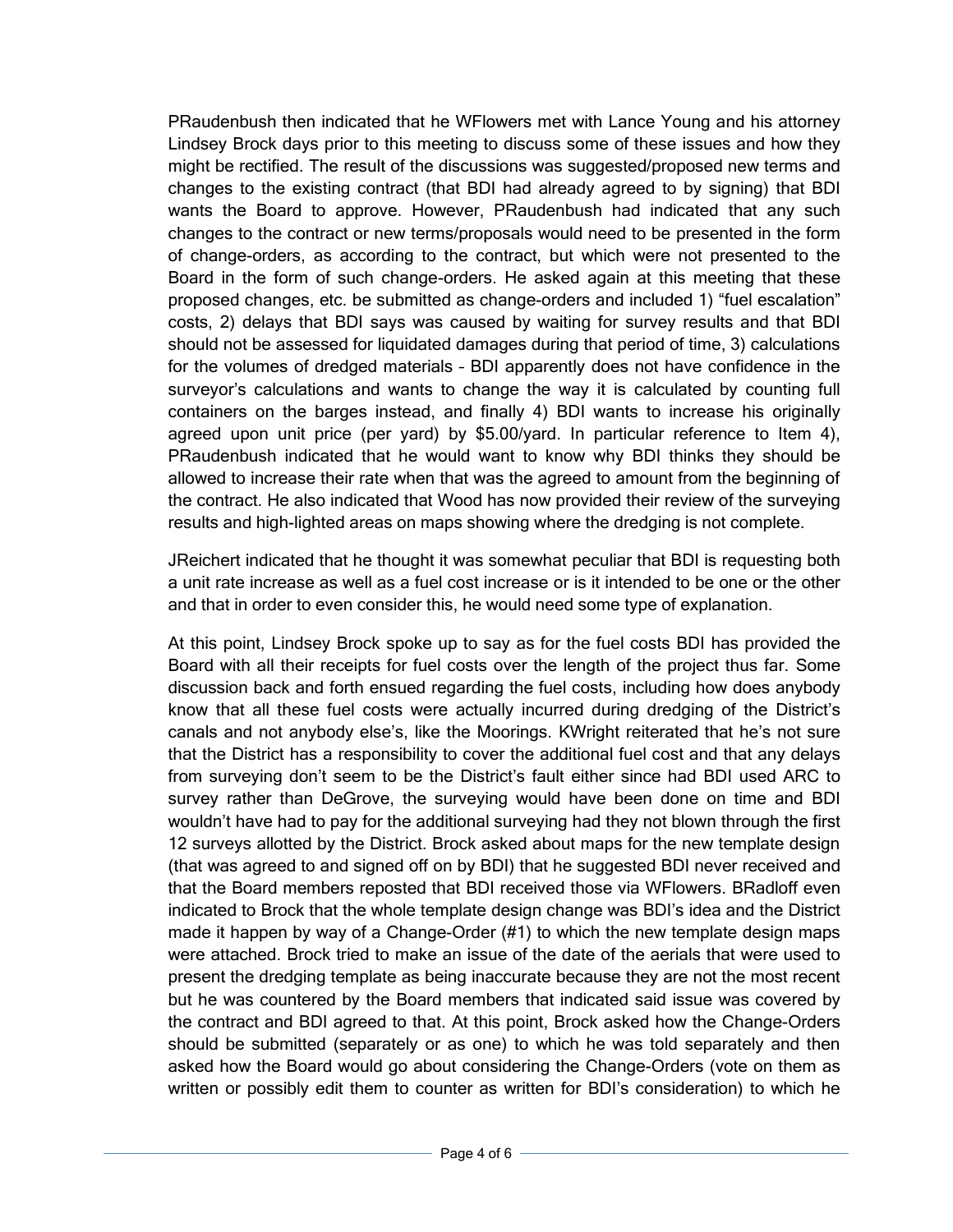PRaudenbush then indicated that he WFlowers met with Lance Young and his attorney Lindsey Brock days prior to this meeting to discuss some of these issues and how they might be rectified. The result of the discussions was suggested/proposed new terms and changes to the existing contract (that BDI had already agreed to by signing) that BDI wants the Board to approve. However, PRaudenbush had indicated that any such changes to the contract or new terms/proposals would need to be presented in the form of change-orders, as according to the contract, but which were not presented to the Board in the form of such change-orders. He asked again at this meeting that these proposed changes, etc. be submitted as change-orders and included 1) "fuel escalation" costs, 2) delays that BDI says was caused by waiting for survey results and that BDI should not be assessed for liquidated damages during that period of time, 3) calculations for the volumes of dredged materials – BDI apparently does not have confidence in the surveyor's calculations and wants to change the way it is calculated by counting full containers on the barges instead, and finally 4) BDI wants to increase his originally agreed upon unit price (per yard) by \$5.00/yard. In particular reference to Item 4), PRaudenbush indicated that he would want to know why BDI thinks they should be allowed to increase their rate when that was the agreed to amount from the beginning of the contract. He also indicated that Wood has now provided their review of the surveying results and high-lighted areas on maps showing where the dredging is not complete.

JReichert indicated that he thought it was somewhat peculiar that BDI is requesting both a unit rate increase as well as a fuel cost increase or is it intended to be one or the other and that in order to even consider this, he would need some type of explanation.

At this point, Lindsey Brock spoke up to say as for the fuel costs BDI has provided the Board with all their receipts for fuel costs over the length of the project thus far. Some discussion back and forth ensued regarding the fuel costs, including how does anybody know that all these fuel costs were actually incurred during dredging of the District's canals and not anybody else's, like the Moorings. KWright reiterated that he's not sure that the District has a responsibility to cover the additional fuel cost and that any delays from surveying don't seem to be the District's fault either since had BDI used ARC to survey rather than DeGrove, the surveying would have been done on time and BDI wouldn't have had to pay for the additional surveying had they not blown through the first 12 surveys allotted by the District. Brock asked about maps for the new template design (that was agreed to and signed off on by BDI) that he suggested BDI never received and that the Board members reposted that BDI received those via WFlowers. BRadloff even indicated to Brock that the whole template design change was BDI's idea and the District made it happen by way of a Change-Order (#1) to which the new template design maps were attached. Brock tried to make an issue of the date of the aerials that were used to present the dredging template as being inaccurate because they are not the most recent but he was countered by the Board members that indicated said issue was covered by the contract and BDI agreed to that. At this point, Brock asked how the Change-Orders should be submitted (separately or as one) to which he was told separately and then asked how the Board would go about considering the Change-Orders (vote on them as written or possibly edit them to counter as written for BDI's consideration) to which he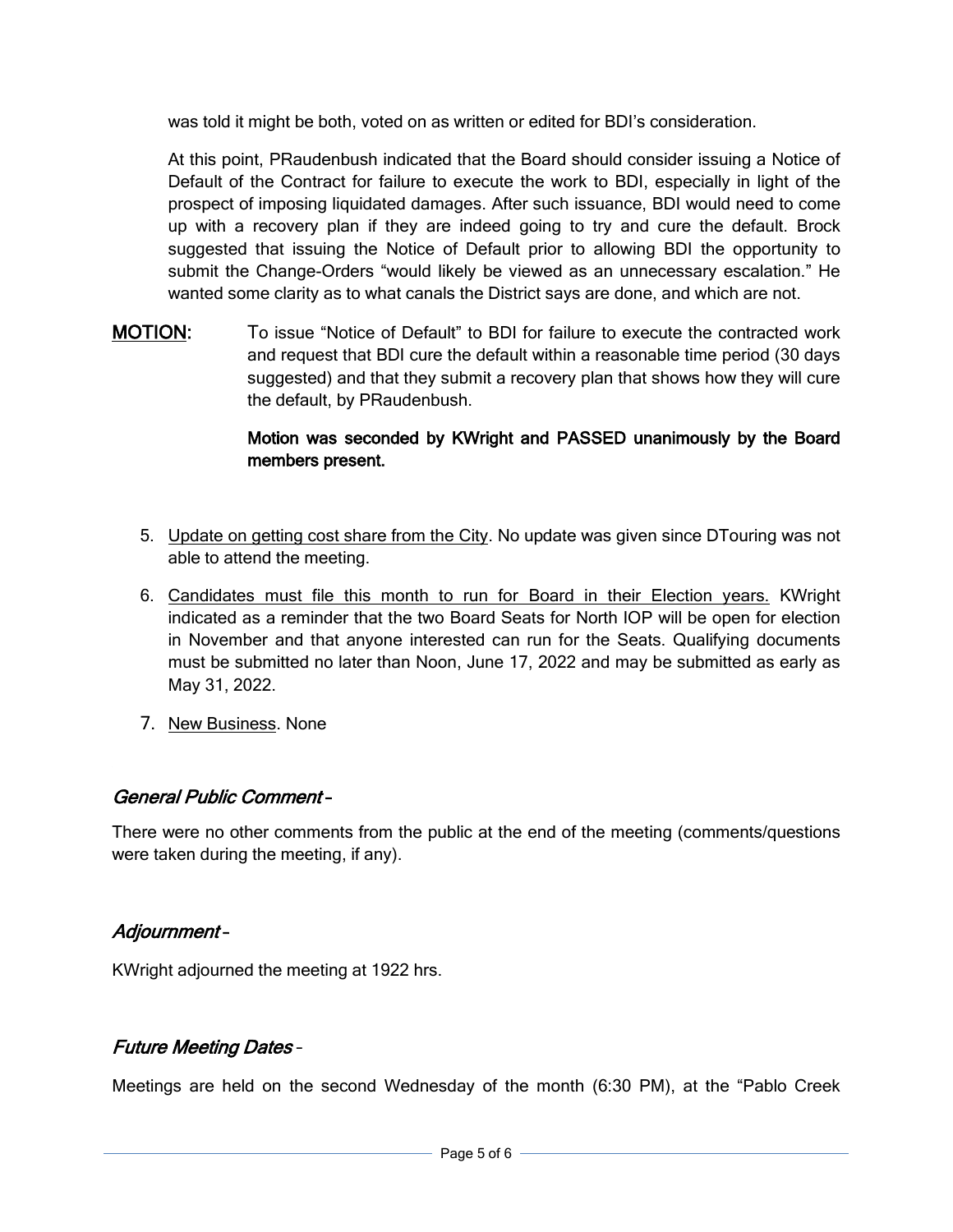was told it might be both, voted on as written or edited for BDI's consideration.

At this point, PRaudenbush indicated that the Board should consider issuing a Notice of Default of the Contract for failure to execute the work to BDI, especially in light of the prospect of imposing liquidated damages. After such issuance, BDI would need to come up with a recovery plan if they are indeed going to try and cure the default. Brock suggested that issuing the Notice of Default prior to allowing BDI the opportunity to submit the Change-Orders "would likely be viewed as an unnecessary escalation." He wanted some clarity as to what canals the District says are done, and which are not.

MOTION: To issue "Notice of Default" to BDI for failure to execute the contracted work and request that BDI cure the default within a reasonable time period (30 days suggested) and that they submit a recovery plan that shows how they will cure the default, by PRaudenbush.

### Motion was seconded by KWright and PASSED unanimously by the Board members present.

- 5. Update on getting cost share from the City. No update was given since DTouring was not able to attend the meeting.
- 6. Candidates must file this month to run for Board in their Election years. KWright indicated as a reminder that the two Board Seats for North IOP will be open for election in November and that anyone interested can run for the Seats. Qualifying documents must be submitted no later than Noon, June 17, 2022 and may be submitted as early as May 31, 2022.
- 7. New Business. None

## General Public Comment –

There were no other comments from the public at the end of the meeting (comments/questions were taken during the meeting, if any).

#### Adjournment –

KWright adjourned the meeting at 1922 hrs.

## Future Meeting Dates –

Meetings are held on the second Wednesday of the month (6:30 PM), at the "Pablo Creek